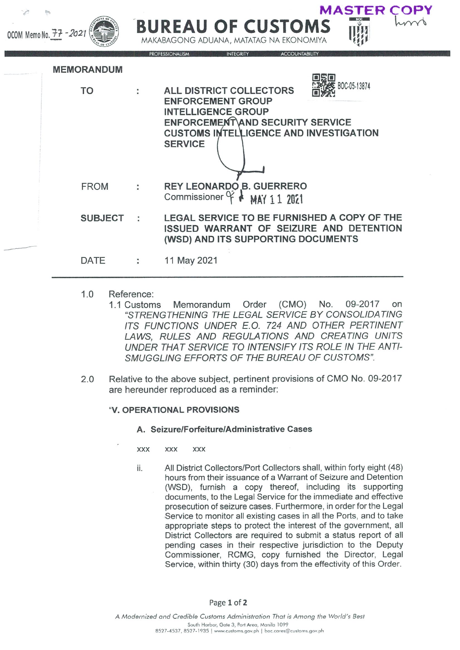| OCOM Memo No. 77 - 2021 |                   | DUREAU UF CUSTUMS<br>MAKABAGONG ADUANA, MATATAG NA EKONOMIYA |                                                                                                                                                                                                                       |
|-------------------------|-------------------|--------------------------------------------------------------|-----------------------------------------------------------------------------------------------------------------------------------------------------------------------------------------------------------------------|
|                         | <b>MEMORANDUM</b> |                                                              | <b>PROFESSIONALISM</b><br>INTEGRITY<br><b>ACCOUNTABILITY</b>                                                                                                                                                          |
|                         | TO                |                                                              | BOC-05-13874<br><b>ALL DISTRICT COLLECTORS</b><br><b>ENFORCEMENT GROUP</b><br><b>INTELLIGENCE GROUP</b><br><b>ENFORCEMENT AND SECURITY SERVICE</b><br><b>CUSTOMS INTELLIGENCE AND INVESTIGATION</b><br><b>SERVICE</b> |
|                         | <b>FROM</b>       |                                                              | <b>REY LEONARDO B. GUERRERO</b><br>Commissioner $\circ \star$<br>MAY 11 2021                                                                                                                                          |
|                         | <b>SUBJECT</b>    |                                                              | LEGAL SERVICE TO BE FURNISHED A COPY OF THE<br>ISSUED WARRANT OF SEIZURE AND DETENTION<br>(WSD) AND ITS SUPPORTING DOCUMENTS                                                                                          |
|                         | <b>DATE</b>       |                                                              | 11 May 2021                                                                                                                                                                                                           |
|                         |                   |                                                              |                                                                                                                                                                                                                       |

DEAIL OF CHICTOM

**AASTER CO** 

- $1.0$ Reference:
	- 1.1 Customs Memorandum Order (CMO) No. 09-2017 on "STRENGTHENING THE LEGAL SERVICE BY CONSOLIDATING ITS FUNCTIONS UNDER E.O. 724 AND OTHER PERTINENT LAWS. RULES AND REGULATIONS AND CREATING UNITS UNDER THAT SERVICE TO INTENSIFY ITS ROLE IN THE ANTI-SMUGGLING EFFORTS OF THE BUREAU OF CUSTOMS".
- Relative to the above subject, pertinent provisions of CMO No. 09-2017  $2.0$ are hereunder reproduced as a reminder:

## "V. OPERATIONAL PROVISIONS

## A. Seizure/Forfeiture/Administrative Cases

- **XXX XXX XXX**
- All District Collectors/Port Collectors shall, within forty eight (48) ii. hours from their issuance of a Warrant of Seizure and Detention (WSD), furnish a copy thereof, including its supporting documents, to the Legal Service for the immediate and effective prosecution of seizure cases. Furthermore, in order for the Legal Service to monitor all existing cases in all the Ports, and to take appropriate steps to protect the interest of the government, all District Collectors are required to submit a status report of all pending cases in their respective jurisdiction to the Deputy Commissioner, RCMG, copy furnished the Director, Legal Service, within thirty (30) days from the effectivity of this Order.